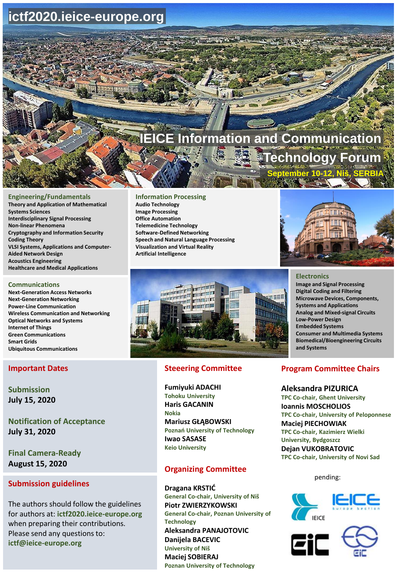# **ictf2020.ieice-europe.org**

# **formation and Communication Technology Forum September 10-12, Niš, SERBIA**

#### **Engineering/Fundamentals**

**Theory and Application of Mathematical Systems Sciences Interdisciplinary Signal Processing Non-linear Phenomena Cryptography and Information Security Coding Theory VLSI Systems, Applications and Computer-Aided Network Design Acoustics Engineering Healthcare and Medical Applications**

#### **Communications**

**Next-Generation Access Networks Next-Generation Networking Power-Line Communication Wireless Communication and Networking Optical Networks and Systems Internet of Things Green Communications Smart Grids Ubiquitous Communications**

#### **Important Dates**

**Submission July 15, 2020**

**Notification of Acceptance July 31, 2020**

**Final Camera-Ready August 15, 2020**

## **Submission guidelines**

The authors should follow the guidelines for authors at: **ictf2020.ieice-europe.org**  when preparing their contributions. Please send any questions to: **ictf@ieice-europe.org**

#### **Information Processing**

**Audio Technology Image Processing Office Automation Telemedicine Technology Software-Defined Networking Speech and Natural Language Processing Visualization and Virtual Reality Artificial Intelligence**



## **Steeering Committee**

**Fumiyuki ADACHI Tohoku University Haris GACANIN Nokia Mariusz GŁĄBOWSKI Poznań University of Technology Iwao SASASE Keio University**

# **Organizing Committee**

**Dragana KRSTIĆ General Co-chair, University of Niš Piotr ZWIERZYKOWSKI General Co-chair, Poznan University of Technology Aleksandra PANAJOTOVIC Danijela BACEVIC University of Niš Maciej SOBIERAJ Poznan University of Technology**



#### **Electronics**

**Image and Signal Processing Digital Coding and Filtering Microwave Devices, Components, Systems and Applications Analog and Mixed-signal Circuits Low-Power Design Embedded Systems Consumer and Multimedia Systems Biomedical/Bioengineering Circuits and Systems**

## **Program Committee Chairs**

**Aleksandra PIZURICA TPC Co-chair, Ghent University Ioannis MOSCHOLIOS TPC Co-chair, University of Peloponnese Maciej PIECHOWIAK TPC Co-chair, Kazimierz Wielki University, Bydgoszcz Dejan VUKOBRATOVIC TPC Co-chair, University of Novi Sad**

pending: